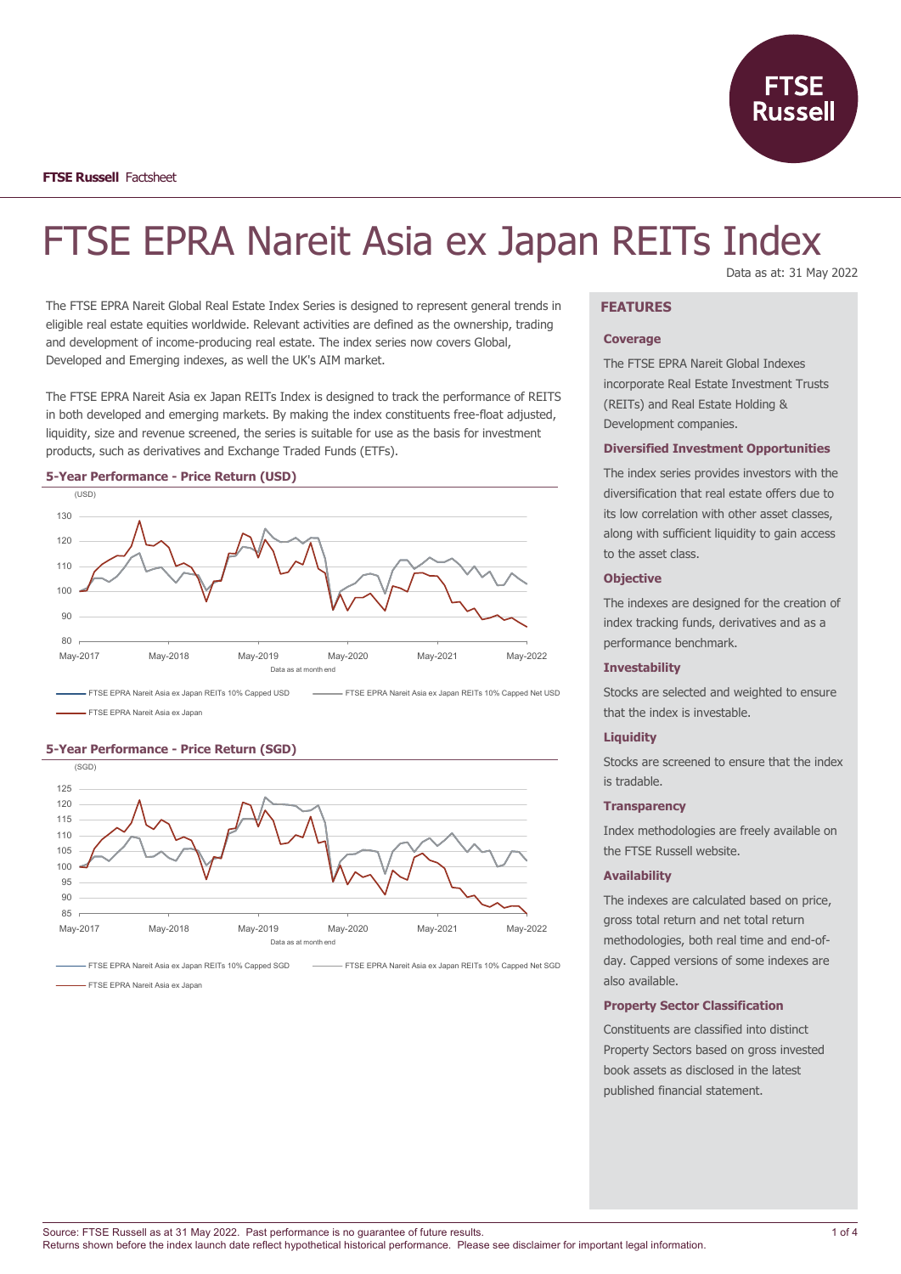

# FTSE EPRA Nareit Asia ex Japan REITs Index Data as at: 31 May 2022

The FTSE EPRA Nareit Global Real Estate Index Series is designed to represent general trends in eligible real estate equities worldwide. Relevant activities are defined as the ownership, trading and development of income-producing real estate. The index series now covers Global, Developed and Emerging indexes, as well the UK's AIM market.

The FTSE EPRA Nareit Asia ex Japan REITs Index is designed to track the performance of REITS in both developed and emerging markets. By making the index constituents free-float adjusted, liquidity, size and revenue screened, the series is suitable for use as the basis for investment products, such as derivatives and Exchange Traded Funds (ETFs).





FTSE EPRA Nareit Asia ex Japan

#### **5-Year Performance - Price Return (SGD)**



FTSE EPRA Nareit Asia ex Japan REITs 10% Capped SGD FTTSE EPRA Nareit Asia ex Japan REITs 10% Capped Net SGD

FTSE EPRA Nareit Asia ex Japan

## **FEATURES**

#### **Coverage**

The FTSE EPRA Nareit Global Indexes incorporate Real Estate Investment Trusts (REITs) and Real Estate Holding & Development companies.

#### **Diversified Investment Opportunities**

The index series provides investors with the diversification that real estate offers due to its low correlation with other asset classes, along with sufficient liquidity to gain access to the asset class.

## **Objective**

The indexes are designed for the creation of index tracking funds, derivatives and as a performance benchmark.

#### **Investability**

Stocks are selected and weighted to ensure that the index is investable.

## **Liquidity**

Stocks are screened to ensure that the index is tradable.

#### **Transparency**

Index methodologies are freely available on the FTSE Russell website.

## **Availability**

The indexes are calculated based on price, gross total return and net total return methodologies, both real time and end-ofday. Capped versions of some indexes are also available.

## **Property Sector Classification**

Constituents are classified into distinct Property Sectors based on gross invested book assets as disclosed in the latest published financial statement.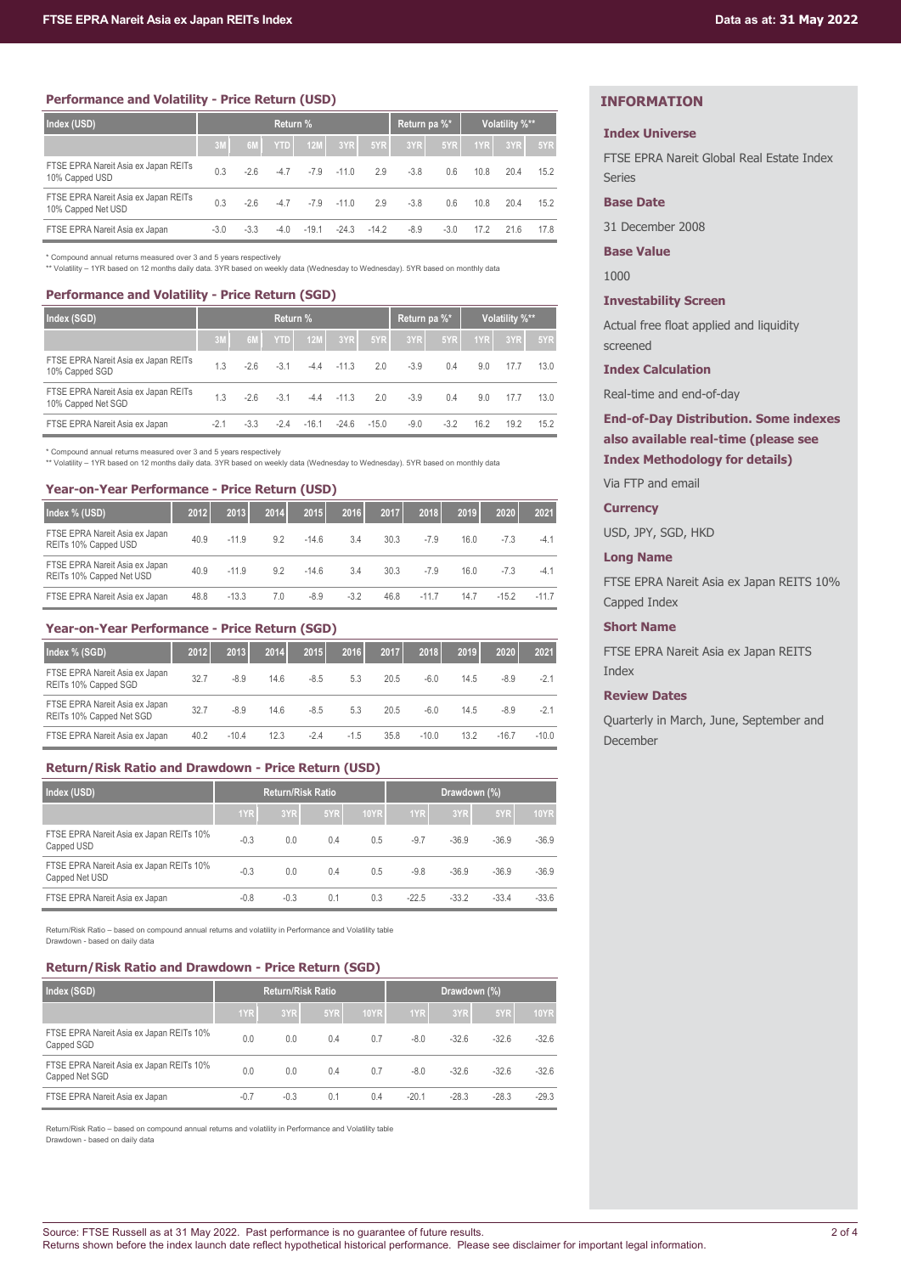## **Performance and Volatility - Price Return (USD)**

| Index (USD)                                                | Return % |        |            |            |         |         |        | Return pa %* | Volatility %**   |      |      |
|------------------------------------------------------------|----------|--------|------------|------------|---------|---------|--------|--------------|------------------|------|------|
|                                                            | 3M       | 6M     | <b>YTD</b> | <b>12M</b> | 3YR     | 5YR     | 3YR    | 5YR          | 1YR <sub>I</sub> | 3YR  | 5YR  |
| FTSE EPRA Nareit Asia ex Japan REITs<br>10% Capped USD     | 0.3      | $-2.6$ | $-4.7$     | $-7.9$     | $-110$  | 2.9     | $-3.8$ | 0.6          | 10.8             | 20.4 | 15.2 |
| FTSE EPRA Nareit Asia ex Japan REITs<br>10% Capped Net USD | 0.3      | $-2.6$ | $-4.7$     | $-7.9$     | $-11.0$ | 2.9     | $-3.8$ | 0.6          | 10.8             | 20.4 | 15.2 |
| FTSE EPRA Nareit Asia ex Japan                             | $-3.0$   | $-3.3$ | $-4.0$     | $-19.1$    | $-24.3$ | $-14.2$ | $-8.9$ | $-3.0$       | 17.2             | 216  | 17.8 |

\* Compound annual returns measured over 3 and 5 years respectively

\*\* Volatility – 1YR based on 12 months daily data. 3YR based on weekly data (Wednesday to Wednesday). 5YR based on monthly data

## **Performance and Volatility - Price Return (SGD)**

| Index (SGD)                                                | Return % |        |            |         |         |         |        | Return pa %* |                  | Volatility %** |      |
|------------------------------------------------------------|----------|--------|------------|---------|---------|---------|--------|--------------|------------------|----------------|------|
|                                                            | 3M       | 6M     | <b>YTD</b> | 12M     | 3YR     | 5YR     | 3YR    | 5YR          | 1YR <sub>I</sub> | 3YR            | 5YR  |
| FTSE EPRA Nareit Asia ex Japan REITs<br>10% Capped SGD     | 1.3      | $-2.6$ | $-3.1$     | $-4.4$  | $-11.3$ | 2.0     | $-3.9$ | 0.4          | 9.0              | 17.7           | 13.0 |
| FTSE EPRA Nareit Asia ex Japan REITs<br>10% Capped Net SGD | 1.3      | $-2.6$ | $-3.1$     | $-4.4$  | $-11.3$ | 2.0     | $-3.9$ | 0.4          | 9.0              | 17.7           | 13.0 |
| FTSE EPRA Nareit Asia ex Japan                             | $-2.1$   | $-3.3$ | $-24$      | $-16.1$ | $-24.6$ | $-15.0$ | $-9.0$ | $-3.2$       | 16.2             | 19.2           | 15.2 |

\* Compound annual returns measured over 3 and 5 years respectively

\*\* Volatility – 1YR based on 12 months daily data. 3YR based on weekly data (Wednesday to Wednesday). 5YR based on monthly data

## **Year-on-Year Performance - Price Return (USD)**

| Index % (USD)                                              | 2012 | 2013    | 2014 | 2015    | 2016   | 2017 | 2018    | 2019 | 2020    | 2021   |
|------------------------------------------------------------|------|---------|------|---------|--------|------|---------|------|---------|--------|
| FTSE EPRA Nareit Asia ex Japan<br>REITs 10% Capped USD     | 40.9 | $-11.9$ | 9.2  | $-14.6$ | 3.4    | 30.3 | $-7.9$  | 16.0 | $-7.3$  | -4.1   |
| FTSE EPRA Nareit Asia ex Japan<br>REITs 10% Capped Net USD | 40.9 | $-11.9$ | 9.2  | $-14.6$ | 3.4    | 30.3 | $-7.9$  | 16.0 | $-7.3$  | $-4.1$ |
| FTSE EPRA Nareit Asia ex Japan                             | 48.8 | $-13.3$ | 7.0  | $-8.9$  | $-3.2$ | 46.8 | $-11.7$ | 14.7 | $-15.2$ | $-117$ |

## **Year-on-Year Performance - Price Return (SGD)**

| Index % (SGD)                                              | 2012 | 2013    | 2014 | 2015   | 2016   | 2017 | 2018    | 2019 | 2020    | 2021    |
|------------------------------------------------------------|------|---------|------|--------|--------|------|---------|------|---------|---------|
| FTSE EPRA Nareit Asia ex Japan<br>REITs 10% Capped SGD     | 32.7 | $-8.9$  | 14.6 | $-8.5$ | 5.3    | 20.5 | $-6.0$  | 14.5 | $-8.9$  | $-2.1$  |
| FTSE EPRA Nareit Asia ex Japan<br>REITs 10% Capped Net SGD | 32.7 | $-8.9$  | 14.6 | $-8.5$ | 5.3    | 20.5 | $-6.0$  | 14.5 | $-8.9$  | $-2.1$  |
| FTSE EPRA Nareit Asia ex Japan                             | 40.2 | $-10.4$ | 12.3 | $-2.4$ | $-1.5$ | 35.8 | $-10.0$ | 13.2 | $-16.7$ | $-10.0$ |

## **Return/Risk Ratio and Drawdown - Price Return (USD)**

| Index (USD)                                                |        | <b>Return/Risk Ratio</b> |     |             | Drawdown (%) |         |         |             |
|------------------------------------------------------------|--------|--------------------------|-----|-------------|--------------|---------|---------|-------------|
|                                                            | 1YR    | 3YR                      | 5YR | <b>10YR</b> | 1YR          | 3YR     | 5YR     | <b>10YR</b> |
| FTSE EPRA Nareit Asia ex Japan REITs 10%<br>Capped USD     | $-0.3$ | 0.0                      | 0.4 | 0.5         | $-9.7$       | $-36.9$ | $-36.9$ | $-36.9$     |
| FTSE EPRA Nareit Asia ex Japan REITs 10%<br>Capped Net USD | $-0.3$ | 0.0                      | 0.4 | 0.5         | $-9.8$       | $-36.9$ | $-36.9$ | $-36.9$     |
| FTSE EPRA Nareit Asia ex Japan                             | $-0.8$ | $-0.3$                   | 0.1 | 0.3         | $-22.5$      | $-33.2$ | $-33.4$ | $-33.6$     |

Return/Risk Ratio – based on compound annual returns and volatility in Performance and Volatility table

Drawdown - based on daily data

## **Return/Risk Ratio and Drawdown - Price Return (SGD)**

| Index (SGD)                                                |        | <b>Return/Risk Ratio</b> |     |             | Drawdown (%) |         |         |             |
|------------------------------------------------------------|--------|--------------------------|-----|-------------|--------------|---------|---------|-------------|
|                                                            | 1YR    | 3YR                      | 5YR | <b>10YR</b> | 1YR          | 3YR     | 5YR     | <b>10YR</b> |
| FTSE EPRA Nareit Asia ex Japan REITs 10%<br>Capped SGD     | 0.0    | 0.0                      | 0.4 | 0.7         | $-8.0$       | $-32.6$ | $-32.6$ | $-32.6$     |
| FTSE EPRA Nareit Asia ex Japan REITs 10%<br>Capped Net SGD | 0.0    | 0.0                      | 0.4 | 0.7         | $-8.0$       | $-32.6$ | $-32.6$ | $-32.6$     |
| FTSE EPRA Nareit Asia ex Japan                             | $-0.7$ | $-0.3$                   | 0.1 | 0.4         | $-20.1$      | $-28.3$ | $-28.3$ | $-29.3$     |

Return/Risk Ratio – based on compound annual returns and volatility in Performance and Volatility table Drawdown - based on daily data

## **INFORMATION**

## **Index Universe**

FTSE EPRA Nareit Global Real Estate Index Series

## **Base Date**

31 December 2008

**Base Value**

1000

## **Investability Screen**

Actual free float applied and liquidity screened

## **Index Calculation**

Real-time and end-of-day

## **End-of-Day Distribution. Some indexes also available real-time (please see Index Methodology for details)**

Via FTP and email

## **Currency**

USD, JPY, SGD, HKD

## **Long Name**

FTSE EPRA Nareit Asia ex Japan REITS 10% Capped Index

## **Short Name**

FTSE EPRA Nareit Asia ex Japan REITS Index

## **Review Dates**

Quarterly in March, June, September and December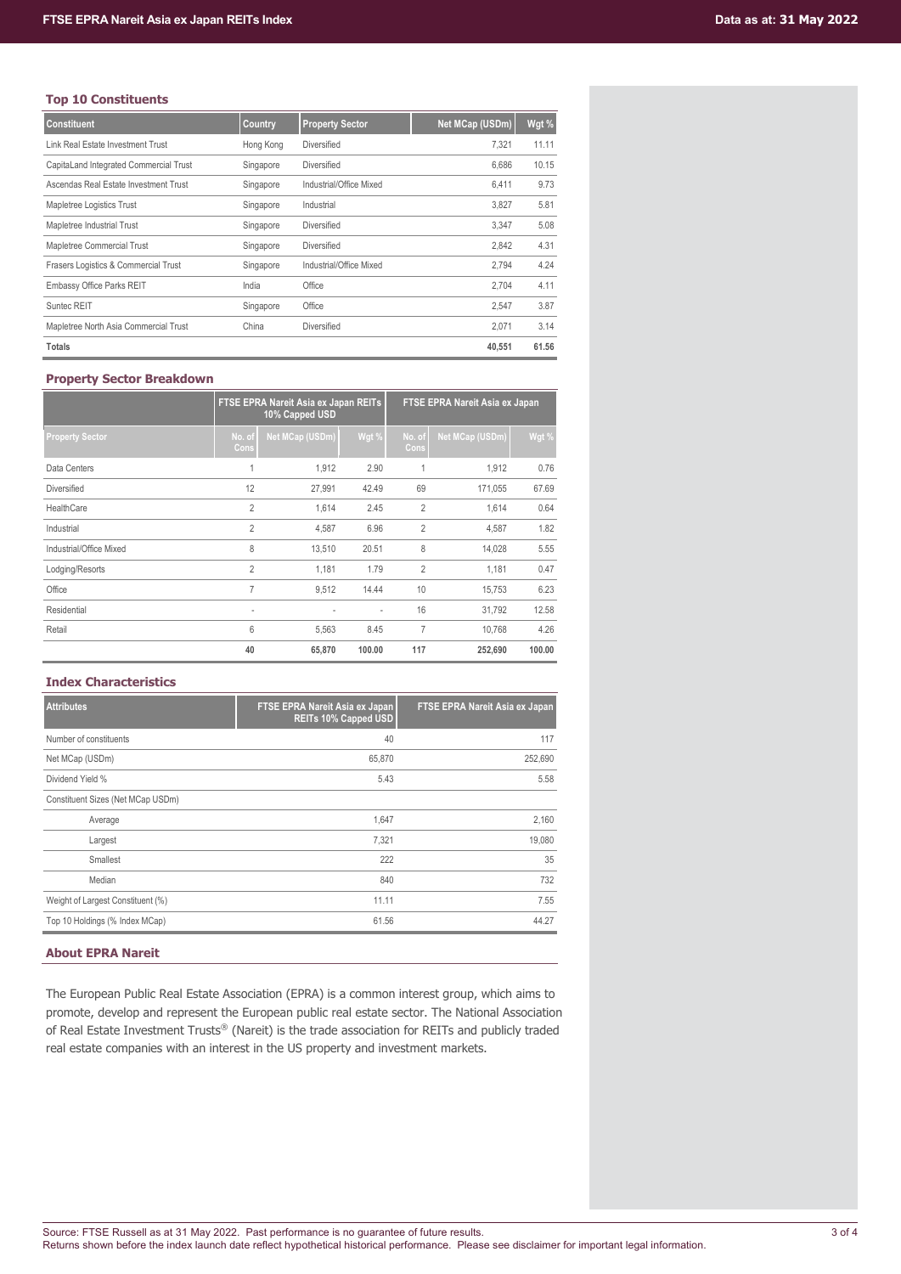## **Top 10 Constituents**

| <b>Constituent</b>                     | Country   | <b>Property Sector</b>  | Net MCap (USDm) | Wgt % |
|----------------------------------------|-----------|-------------------------|-----------------|-------|
| Link Real Estate Investment Trust      | Hong Kong | <b>Diversified</b>      | 7.321           | 11.11 |
| CapitaLand Integrated Commercial Trust | Singapore | <b>Diversified</b>      | 6.686           | 10.15 |
| Ascendas Real Estate Investment Trust  | Singapore | Industrial/Office Mixed | 6.411           | 9.73  |
| Mapletree Logistics Trust              | Singapore | Industrial              | 3.827           | 5.81  |
| Mapletree Industrial Trust             | Singapore | <b>Diversified</b>      | 3.347           | 5.08  |
| Mapletree Commercial Trust             | Singapore | <b>Diversified</b>      | 2.842           | 4.31  |
| Frasers Logistics & Commercial Trust   | Singapore | Industrial/Office Mixed | 2.794           | 4.24  |
| Embassy Office Parks REIT              | India     | Office                  | 2.704           | 4.11  |
| Suntec REIT                            | Singapore | Office                  | 2.547           | 3.87  |
| Mapletree North Asia Commercial Trust  | China     | Diversified             | 2.071           | 3.14  |
| <b>Totals</b>                          |           |                         | 40.551          | 61.56 |

## **Property Sector Breakdown**

|                         |                          | FTSE EPRA Nareit Asia ex Japan REITs<br>10% Capped USD |        | FTSE EPRA Nareit Asia ex Japan |                 |        |  |  |
|-------------------------|--------------------------|--------------------------------------------------------|--------|--------------------------------|-----------------|--------|--|--|
| <b>Property Sector</b>  | No. of<br>Cons           | Net MCap (USDm)                                        | Wgt %  | No. of<br>Cons                 | Net MCap (USDm) | Wgt %  |  |  |
| Data Centers            | 1                        | 1,912                                                  | 2.90   | 1                              | 1,912           | 0.76   |  |  |
| Diversified             | 12                       | 27,991                                                 | 42.49  | 69                             | 171,055         | 67.69  |  |  |
| HealthCare              | $\overline{2}$           | 1,614                                                  | 2.45   | $\overline{2}$                 | 1,614           | 0.64   |  |  |
| Industrial              | $\overline{2}$           | 4.587                                                  | 6.96   | $\overline{2}$                 | 4.587           | 1.82   |  |  |
| Industrial/Office Mixed | 8                        | 13,510                                                 | 20.51  | 8                              | 14,028          | 5.55   |  |  |
| Lodging/Resorts         | $\overline{2}$           | 1.181                                                  | 1.79   | $\overline{2}$                 | 1.181           | 0.47   |  |  |
| Office                  | 7                        | 9,512                                                  | 14.44  | 10                             | 15,753          | 6.23   |  |  |
| Residential             | $\overline{\phantom{a}}$ |                                                        |        | 16                             | 31,792          | 12.58  |  |  |
| Retail                  | 6                        | 5,563                                                  | 8.45   | $\overline{7}$                 | 10.768          | 4.26   |  |  |
|                         | 40                       | 65,870                                                 | 100.00 | 117                            | 252,690         | 100.00 |  |  |

## **Index Characteristics**

| <b>Attributes</b>                 | <b>FTSE EPRA Nareit Asia ex Japan</b><br><b>REITs 10% Capped USD</b> | FTSE EPRA Nareit Asia ex Japan |
|-----------------------------------|----------------------------------------------------------------------|--------------------------------|
| Number of constituents            | 40                                                                   | 117                            |
| Net MCap (USDm)                   | 65,870                                                               | 252,690                        |
| Dividend Yield %                  | 5.43                                                                 | 5.58                           |
| Constituent Sizes (Net MCap USDm) |                                                                      |                                |
| Average                           | 1,647                                                                | 2,160                          |
| Largest                           | 7,321                                                                | 19,080                         |
| Smallest                          | 222                                                                  | 35                             |
| Median                            | 840                                                                  | 732                            |
| Weight of Largest Constituent (%) | 11.11                                                                | 7.55                           |
| Top 10 Holdings (% Index MCap)    | 61.56                                                                | 44.27                          |

## **About EPRA Nareit**

The European Public Real Estate Association (EPRA) is a common interest group, which aims to promote, develop and represent the European public real estate sector. The National Association of Real Estate Investment Trusts® (Nareit) is the trade association for REITs and publicly traded real estate companies with an interest in the US property and investment markets.